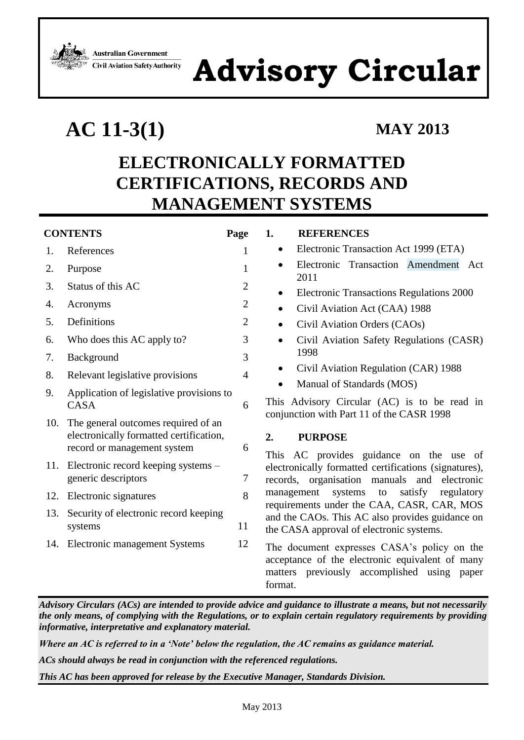**Australian Government Civil Aviation Safety Authority** 

# **Advisory Circular**

## **AC 11-3(1) MAY 2013**

### <span id="page-0-0"></span>**ELECTRONICALLY FORMATTED CERTIFICATIONS, RECORDS AND MANAGEMENT SYSTEMS**

| <b>CONTENTS</b> |                                                                                                                                                                                 | Page           | <b>REFERENCES</b><br>1.                                                                                                                                                  |
|-----------------|---------------------------------------------------------------------------------------------------------------------------------------------------------------------------------|----------------|--------------------------------------------------------------------------------------------------------------------------------------------------------------------------|
| 1.              | References                                                                                                                                                                      | 1              | Electronic Transaction Act 1999 (ETA)<br>٠                                                                                                                               |
| 2.              | Purpose                                                                                                                                                                         | 1              | Electronic Transaction Amendment Act<br>2011                                                                                                                             |
| 3.              | Status of this AC                                                                                                                                                               | $\mathfrak{2}$ | <b>Electronic Transactions Regulations 2000</b><br>٠                                                                                                                     |
| 4.              | Acronyms                                                                                                                                                                        | $\overline{2}$ | Civil Aviation Act (CAA) 1988<br>٠                                                                                                                                       |
| 5.              | Definitions                                                                                                                                                                     | $\mathfrak{2}$ | Civil Aviation Orders (CAOs)<br>$\bullet$                                                                                                                                |
| 6.              | Who does this AC apply to?                                                                                                                                                      | 3              | Civil Aviation Safety Regulations (CASR)<br>٠                                                                                                                            |
| 7.              | Background                                                                                                                                                                      | 3              | 1998                                                                                                                                                                     |
| 8.              | Relevant legislative provisions                                                                                                                                                 | $\overline{4}$ | Civil Aviation Regulation (CAR) 1988<br>٠                                                                                                                                |
| 9.              | Application of legislative provisions to<br><b>CASA</b>                                                                                                                         | 6              | Manual of Standards (MOS)<br>This Advisory Circular (AC) is to be read in<br>conjunction with Part 11 of the CASR 1998                                                   |
| 10.             | The general outcomes required of an<br>electronically formatted certification,<br>record or management system<br>11. Electronic record keeping systems –<br>generic descriptors | 6<br>7         | 2.<br><b>PURPOSE</b><br>This AC provides guidance on the use of<br>electronically formatted certifications (signatures),<br>records, organisation manuals and electronic |
| 12.             | Electronic signatures                                                                                                                                                           | 8              | management<br>systems<br>satisfy<br>to<br>regulatory<br>requirements under the CAA, CASR, CAR, MOS                                                                       |
| 13.             | Security of electronic record keeping<br>systems                                                                                                                                | 11             | and the CAOs. This AC also provides guidance on<br>the CASA approval of electronic systems.                                                                              |
|                 | 14. Electronic management Systems                                                                                                                                               | 12             | The document expresses CASA's policy on the<br>acceptance of the electronic equivalent of many<br>matters previously accomplished using paper<br>format.                 |

<span id="page-0-1"></span>*Advisory Circulars (ACs) are intended to provide advice and guidance to illustrate a means, but not necessarily the only means, of complying with the Regulations, or to explain certain regulatory requirements by providing informative, interpretative and explanatory material.*

*Where an AC is referred to in a 'Note' below the regulation, the AC remains as guidance material.*

*ACs should always be read in conjunction with the referenced regulations.*

*This AC has been approved for release by the Executive Manager, Standards Division.*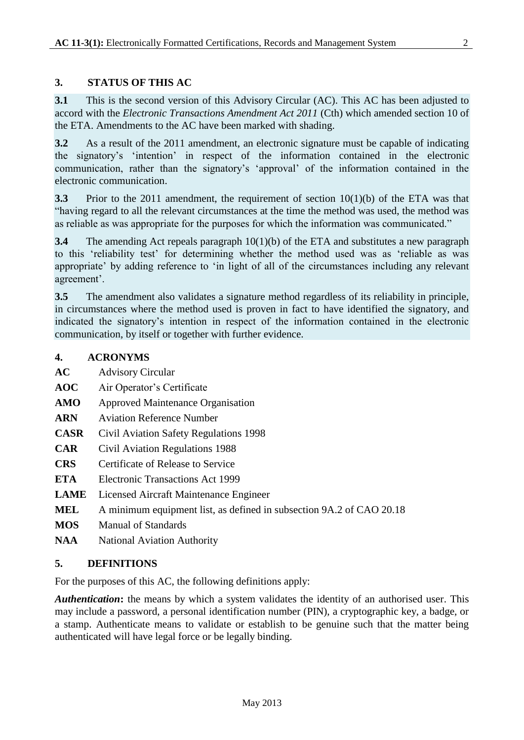<span id="page-1-0"></span>**3.1** This is the second version of this Advisory Circular (AC). This AC has been adjusted to accord with the *Electronic Transactions Amendment Act 2011* (Cth) which amended section 10 of the ETA. Amendments to the AC have been marked with shading.

**3.2** As a result of the 2011 amendment, an electronic signature must be capable of indicating the signatory's 'intention' in respect of the information contained in the electronic communication, rather than the signatory's 'approval' of the information contained in the electronic communication.

**3.3** Prior to the 2011 amendment, the requirement of section 10(1)(b) of the ETA was that "having regard to all the relevant circumstances at the time the method was used, the method was as reliable as was appropriate for the purposes for which the information was communicated."

**3.4** The amending Act repeals paragraph 10(1)(b) of the ETA and substitutes a new paragraph to this 'reliability test' for determining whether the method used was as 'reliable as was appropriate' by adding reference to 'in light of all of the circumstances including any relevant agreement'.

**3.5** The amendment also validates a signature method regardless of its reliability in principle, in circumstances where the method used is proven in fact to have identified the signatory, and indicated the signatory's intention in respect of the information contained in the electronic communication, by itself or together with further evidence.

#### <span id="page-1-1"></span>**4. ACRONYMS**

| AC            | <b>Advisory Circular</b> |  |
|---------------|--------------------------|--|
| $\sim$ $\sim$ |                          |  |

- **AOC** Air Operator's Certificate
- **AMO** Approved Maintenance Organisation
- **ARN** Aviation Reference Number
- **CASR** Civil Aviation Safety Regulations 1998
- **CAR** Civil Aviation Regulations 1988
- **CRS** Certificate of Release to Service
- **ETA** Electronic Transactions Act 1999
- **LAME** Licensed Aircraft Maintenance Engineer
- **MEL** A minimum equipment list, as defined in subsection 9A.2 of CAO 20.18
- **MOS** Manual of Standards
- <span id="page-1-2"></span>**NAA** National Aviation Authority

#### **5. DEFINITIONS**

For the purposes of this AC, the following definitions apply:

*Authentication***:** the means by which a system validates the identity of an authorised user. This may include a password, a personal identification number (PIN), a cryptographic key, a badge, or a stamp. Authenticate means to validate or establish to be genuine such that the matter being authenticated will have legal force or be legally binding.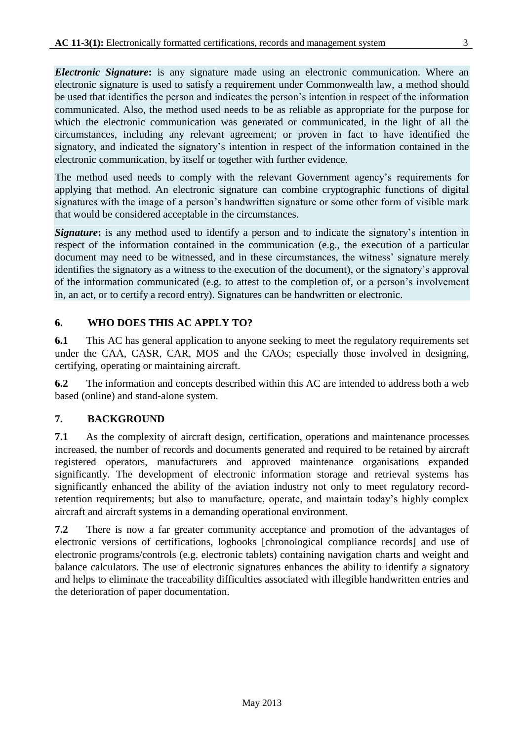*Electronic Signature***:** is any signature made using an electronic communication. Where an electronic signature is used to satisfy a requirement under Commonwealth law, a method should be used that identifies the person and indicates the person's intention in respect of the information communicated. Also, the method used needs to be as reliable as appropriate for the purpose for which the electronic communication was generated or communicated, in the light of all the circumstances, including any relevant agreement; or proven in fact to have identified the signatory, and indicated the signatory's intention in respect of the information contained in the electronic communication, by itself or together with further evidence.

The method used needs to comply with the relevant Government agency's requirements for applying that method. An electronic signature can combine cryptographic functions of digital signatures with the image of a person's handwritten signature or some other form of visible mark that would be considered acceptable in the circumstances.

*Signature***:** is any method used to identify a person and to indicate the signatory's intention in respect of the information contained in the communication (e.g., the execution of a particular document may need to be witnessed, and in these circumstances, the witness' signature merely identifies the signatory as a witness to the execution of the document), or the signatory's approval of the information communicated (e.g. to attest to the completion of, or a person's involvement in, an act, or to certify a record entry). Signatures can be handwritten or electronic.

### <span id="page-2-0"></span>**6. WHO DOES THIS AC APPLY TO?**

**6.1** This AC has general application to anyone seeking to meet the regulatory requirements set under the CAA, CASR, CAR, MOS and the CAOs; especially those involved in designing, certifying, operating or maintaining aircraft.

**6.2** The information and concepts described within this AC are intended to address both a web based (online) and stand-alone system.

### <span id="page-2-1"></span>**7. BACKGROUND**

**7.1** As the complexity of aircraft design, certification, operations and maintenance processes increased, the number of records and documents generated and required to be retained by aircraft registered operators, manufacturers and approved maintenance organisations expanded significantly. The development of electronic information storage and retrieval systems has significantly enhanced the ability of the aviation industry not only to meet regulatory recordretention requirements; but also to manufacture, operate, and maintain today's highly complex aircraft and aircraft systems in a demanding operational environment.

**7.2** There is now a far greater community acceptance and promotion of the advantages of electronic versions of certifications, logbooks [chronological compliance records] and use of electronic programs/controls (e.g. electronic tablets) containing navigation charts and weight and balance calculators. The use of electronic signatures enhances the ability to identify a signatory and helps to eliminate the traceability difficulties associated with illegible handwritten entries and the deterioration of paper documentation.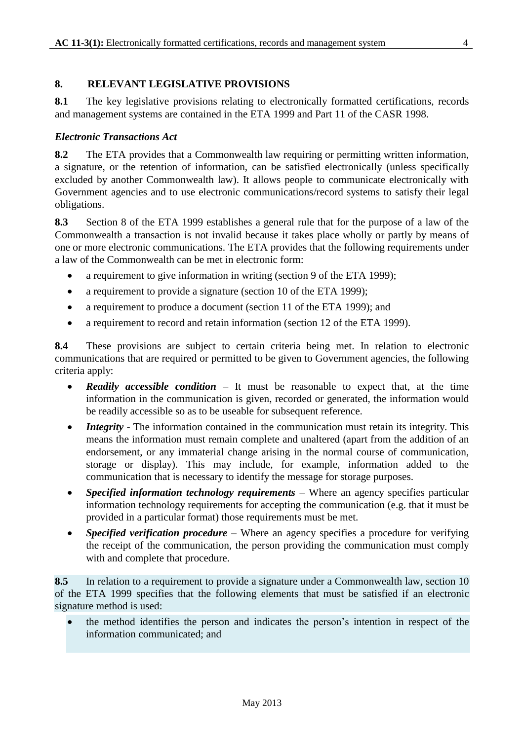#### <span id="page-3-0"></span>**8. RELEVANT LEGISLATIVE PROVISIONS**

**8.1** The key legislative provisions relating to electronically formatted certifications, records and management systems are contained in the ETA 1999 and Part 11 of the CASR 1998.

#### *Electronic Transactions Act*

**8.2** The ETA provides that a Commonwealth law requiring or permitting written information, a signature, or the retention of information, can be satisfied electronically (unless specifically excluded by another Commonwealth law). It allows people to communicate electronically with Government agencies and to use electronic communications/record systems to satisfy their legal obligations.

**8.3** Section 8 of the ETA 1999 establishes a general rule that for the purpose of a law of the Commonwealth a transaction is not invalid because it takes place wholly or partly by means of one or more electronic communications. The ETA provides that the following requirements under a law of the Commonwealth can be met in electronic form:

- a requirement to give information in writing (section 9 of the ETA 1999);
- a requirement to provide a signature (section 10 of the ETA 1999);
- a requirement to produce a document (section 11 of the ETA 1999); and
- a requirement to record and retain information (section 12 of the ETA 1999).

**8.4** These provisions are subject to certain criteria being met. In relation to electronic communications that are required or permitted to be given to Government agencies, the following criteria apply:

- *Readily accessible condition* It must be reasonable to expect that, at the time information in the communication is given, recorded or generated, the information would be readily accessible so as to be useable for subsequent reference.
- *Integrity* The information contained in the communication must retain its integrity. This means the information must remain complete and unaltered (apart from the addition of an endorsement, or any immaterial change arising in the normal course of communication, storage or display). This may include, for example, information added to the communication that is necessary to identify the message for storage purposes.
- *Specified information technology requirements –* Where an agency specifies particular information technology requirements for accepting the communication (e.g. that it must be provided in a particular format) those requirements must be met.
- *Specified verification procedure* Where an agency specifies a procedure for verifying the receipt of the communication, the person providing the communication must comply with and complete that procedure.

**8.5** In relation to a requirement to provide a signature under a Commonwealth law, section 10 of the ETA 1999 specifies that the following elements that must be satisfied if an electronic signature method is used:

 the method identifies the person and indicates the person's intention in respect of the information communicated; and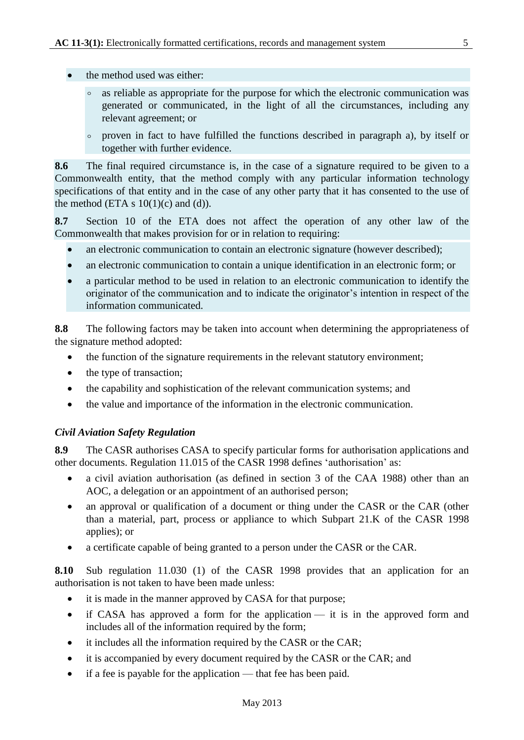- the method used was either:
	- as reliable as appropriate for the purpose for which the electronic communication was generated or communicated, in the light of all the circumstances, including any relevant agreement; or
	- º proven in fact to have fulfilled the functions described in paragraph a), by itself or together with further evidence.

**8.6** The final required circumstance is, in the case of a signature required to be given to a Commonwealth entity, that the method comply with any particular information technology specifications of that entity and in the case of any other party that it has consented to the use of the method (ETA s  $10(1)(c)$  and (d)).

**8.7** Section 10 of the ETA does not affect the operation of any other law of the Commonwealth that makes provision for or in relation to requiring:

- an electronic communication to contain an electronic signature (however described);
- an electronic communication to contain a unique identification in an electronic form; or
- a particular method to be used in relation to an electronic communication to identify the originator of the communication and to indicate the originator's intention in respect of the information communicated.

**8.8** The following factors may be taken into account when determining the appropriateness of the signature method adopted:

- the function of the signature requirements in the relevant statutory environment;
- the type of transaction;
- the capability and sophistication of the relevant communication systems; and
- the value and importance of the information in the electronic communication.

#### *Civil Aviation Safety Regulation*

**8.9** The CASR authorises CASA to specify particular forms for authorisation applications and other documents. Regulation 11.015 of the CASR 1998 defines 'authorisation' as:

- a civil aviation authorisation (as defined in section 3 of the CAA 1988) other than an AOC, a delegation or an appointment of an authorised person;
- an approval or qualification of a document or thing under the CASR or the CAR (other than a material, part, process or appliance to which Subpart 21.K of the CASR 1998 applies); or
- a certificate capable of being granted to a person under the CASR or the CAR.

**8.10** Sub regulation 11.030 (1) of the CASR 1998 provides that an application for an authorisation is not taken to have been made unless:

- it is made in the manner approved by CASA for that purpose;
- if CASA has approved a form for the application it is in the approved form and includes all of the information required by the form;
- it includes all the information required by the CASR or the CAR;
- it is accompanied by every document required by the CASR or the CAR; and
- if a fee is payable for the application that fee has been paid.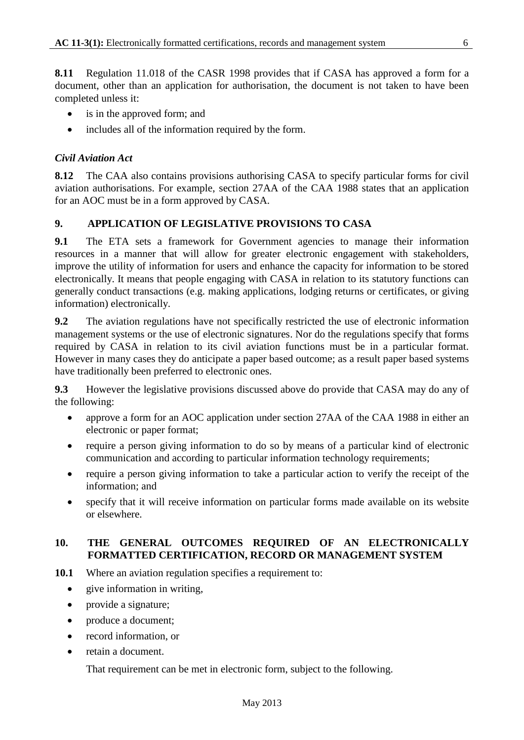**8.11** Regulation 11.018 of the CASR 1998 provides that if CASA has approved a form for a document, other than an application for authorisation, the document is not taken to have been completed unless it:

- is in the approved form; and
- includes all of the information required by the form.

#### *Civil Aviation Act*

**8.12** The CAA also contains provisions authorising CASA to specify particular forms for civil aviation authorisations. For example, section 27AA of the CAA 1988 states that an application for an AOC must be in a form approved by CASA.

#### <span id="page-5-0"></span>**9. APPLICATION OF LEGISLATIVE PROVISIONS TO CASA**

**9.1** The ETA sets a framework for Government agencies to manage their information resources in a manner that will allow for greater electronic engagement with stakeholders, improve the utility of information for users and enhance the capacity for information to be stored electronically. It means that people engaging with CASA in relation to its statutory functions can generally conduct transactions (e.g. making applications, lodging returns or certificates, or giving information) electronically.

**9.2** The aviation regulations have not specifically restricted the use of electronic information management systems or the use of electronic signatures. Nor do the regulations specify that forms required by CASA in relation to its civil aviation functions must be in a particular format. However in many cases they do anticipate a paper based outcome; as a result paper based systems have traditionally been preferred to electronic ones.

**9.3** However the legislative provisions discussed above do provide that CASA may do any of the following:

- approve a form for an AOC application under section 27AA of the CAA 1988 in either an electronic or paper format;
- require a person giving information to do so by means of a particular kind of electronic communication and according to particular information technology requirements;
- require a person giving information to take a particular action to verify the receipt of the information; and
- specify that it will receive information on particular forms made available on its website or elsewhere.

#### <span id="page-5-1"></span>**10. THE GENERAL OUTCOMES REQUIRED OF AN ELECTRONICALLY FORMATTED CERTIFICATION, RECORD OR MANAGEMENT SYSTEM**

- **10.1** Where an aviation regulation specifies a requirement to:
	- give information in writing,
	- provide a signature;
	- produce a document;
	- record information, or
	- retain a document.

That requirement can be met in electronic form, subject to the following.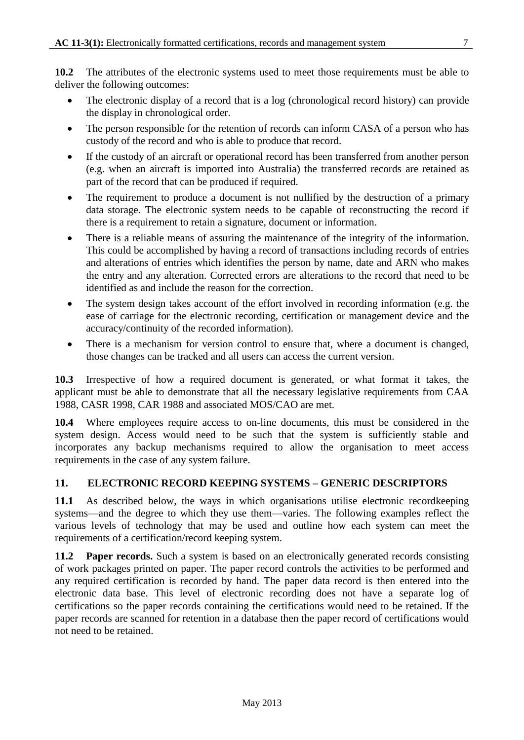**10.2** The attributes of the electronic systems used to meet those requirements must be able to deliver the following outcomes:

- The electronic display of a record that is a log (chronological record history) can provide the display in chronological order.
- The person responsible for the retention of records can inform CASA of a person who has custody of the record and who is able to produce that record.
- If the custody of an aircraft or operational record has been transferred from another person (e.g. when an aircraft is imported into Australia) the transferred records are retained as part of the record that can be produced if required.
- The requirement to produce a document is not nullified by the destruction of a primary data storage. The electronic system needs to be capable of reconstructing the record if there is a requirement to retain a signature, document or information.
- There is a reliable means of assuring the maintenance of the integrity of the information. This could be accomplished by having a record of transactions including records of entries and alterations of entries which identifies the person by name, date and ARN who makes the entry and any alteration. Corrected errors are alterations to the record that need to be identified as and include the reason for the correction.
- The system design takes account of the effort involved in recording information (e.g. the ease of carriage for the electronic recording, certification or management device and the accuracy/continuity of the recorded information).
- There is a mechanism for version control to ensure that, where a document is changed, those changes can be tracked and all users can access the current version.

**10.3** Irrespective of how a required document is generated, or what format it takes, the applicant must be able to demonstrate that all the necessary legislative requirements from CAA 1988, CASR 1998, CAR 1988 and associated MOS/CAO are met.

**10.4** Where employees require access to on-line documents, this must be considered in the system design. Access would need to be such that the system is sufficiently stable and incorporates any backup mechanisms required to allow the organisation to meet access requirements in the case of any system failure.

#### <span id="page-6-0"></span>**11. ELECTRONIC RECORD KEEPING SYSTEMS – GENERIC DESCRIPTORS**

**11.1** As described below, the ways in which organisations utilise electronic recordkeeping systems—and the degree to which they use them—varies. The following examples reflect the various levels of technology that may be used and outline how each system can meet the requirements of a certification/record keeping system.

**11.2 Paper records.** Such a system is based on an electronically generated records consisting of work packages printed on paper. The paper record controls the activities to be performed and any required certification is recorded by hand. The paper data record is then entered into the electronic data base. This level of electronic recording does not have a separate log of certifications so the paper records containing the certifications would need to be retained. If the paper records are scanned for retention in a database then the paper record of certifications would not need to be retained.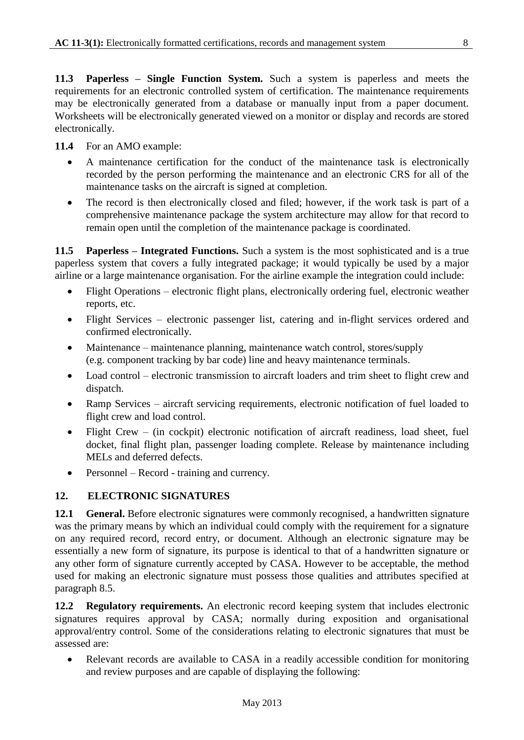**11.3 Paperless – Single Function System.** Such a system is paperless and meets the requirements for an electronic controlled system of certification. The maintenance requirements may be electronically generated from a database or manually input from a paper document. Worksheets will be electronically generated viewed on a monitor or display and records are stored electronically.

**11.4** For an AMO example:

- A maintenance certification for the conduct of the maintenance task is electronically recorded by the person performing the maintenance and an electronic CRS for all of the maintenance tasks on the aircraft is signed at completion.
- The record is then electronically closed and filed; however, if the work task is part of a comprehensive maintenance package the system architecture may allow for that record to remain open until the completion of the maintenance package is coordinated.

**11.5 Paperless – Integrated Functions.** Such a system is the most sophisticated and is a true paperless system that covers a fully integrated package; it would typically be used by a major airline or a large maintenance organisation. For the airline example the integration could include:

- Flight Operations electronic flight plans, electronically ordering fuel, electronic weather reports, etc.
- Flight Services electronic passenger list, catering and in-flight services ordered and confirmed electronically.
- Maintenance maintenance planning, maintenance watch control, stores/supply (e.g. component tracking by bar code) line and heavy maintenance terminals.
- Load control electronic transmission to aircraft loaders and trim sheet to flight crew and dispatch.
- Ramp Services aircraft servicing requirements, electronic notification of fuel loaded to flight crew and load control.
- Flight Crew (in cockpit) electronic notification of aircraft readiness, load sheet, fuel docket, final flight plan, passenger loading complete. Release by maintenance including MELs and deferred defects.
- Personnel Record training and currency.

#### <span id="page-7-0"></span>**12. ELECTRONIC SIGNATURES**

**12.1 General.** Before electronic signatures were commonly recognised, a handwritten signature was the primary means by which an individual could comply with the requirement for a signature on any required record, record entry, or document. Although an electronic signature may be essentially a new form of signature, its purpose is identical to that of a handwritten signature or any other form of signature currently accepted by CASA. However to be acceptable, the method used for making an electronic signature must possess those qualities and attributes specified at paragraph 8.5.

**12.2 Regulatory requirements.** An electronic record keeping system that includes electronic signatures requires approval by CASA; normally during exposition and organisational approval/entry control. Some of the considerations relating to electronic signatures that must be assessed are:

 Relevant records are available to CASA in a readily accessible condition for monitoring and review purposes and are capable of displaying the following: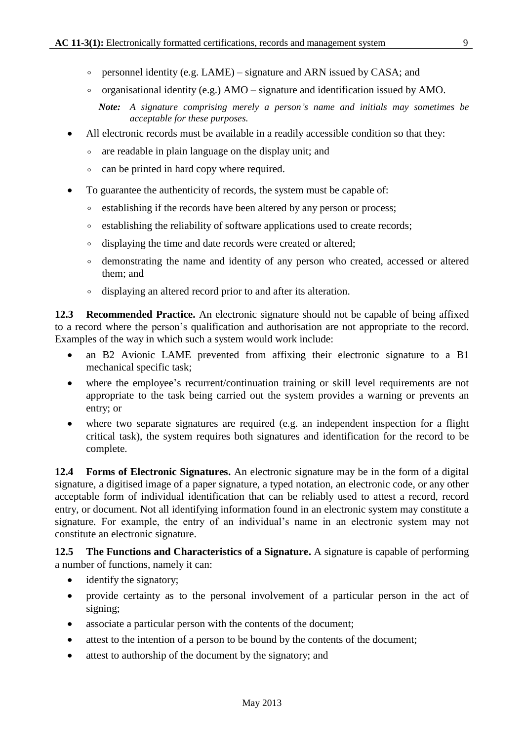- $\circ$  personnel identity (e.g. LAME) signature and ARN issued by CASA; and
- $\circ$  organisational identity (e.g.) AMO signature and identification issued by AMO.
	- *Note: A signature comprising merely a person's name and initials may sometimes be acceptable for these purposes.*
- All electronic records must be available in a readily accessible condition so that they:
	- are readable in plain language on the display unit; and
	- º can be printed in hard copy where required.
- To guarantee the authenticity of records, the system must be capable of:
	- establishing if the records have been altered by any person or process;
	- establishing the reliability of software applications used to create records;
	- displaying the time and date records were created or altered;
	- º demonstrating the name and identity of any person who created, accessed or altered them; and
	- º displaying an altered record prior to and after its alteration.

**12.3 Recommended Practice.** An electronic signature should not be capable of being affixed to a record where the person's qualification and authorisation are not appropriate to the record. Examples of the way in which such a system would work include:

- an B2 Avionic LAME prevented from affixing their electronic signature to a B1 mechanical specific task;
- where the employee's recurrent/continuation training or skill level requirements are not appropriate to the task being carried out the system provides a warning or prevents an entry; or
- where two separate signatures are required (e.g. an independent inspection for a flight critical task), the system requires both signatures and identification for the record to be complete.

**12.4 Forms of Electronic Signatures.** An electronic signature may be in the form of a digital signature, a digitised image of a paper signature, a typed notation, an electronic code, or any other acceptable form of individual identification that can be reliably used to attest a record, record entry, or document. Not all identifying information found in an electronic system may constitute a signature. For example, the entry of an individual's name in an electronic system may not constitute an electronic signature.

**12.5 The Functions and Characteristics of a Signature.** A signature is capable of performing a number of functions, namely it can:

- identify the signatory;
- provide certainty as to the personal involvement of a particular person in the act of signing;
- associate a particular person with the contents of the document;
- attest to the intention of a person to be bound by the contents of the document;
- attest to authorship of the document by the signatory; and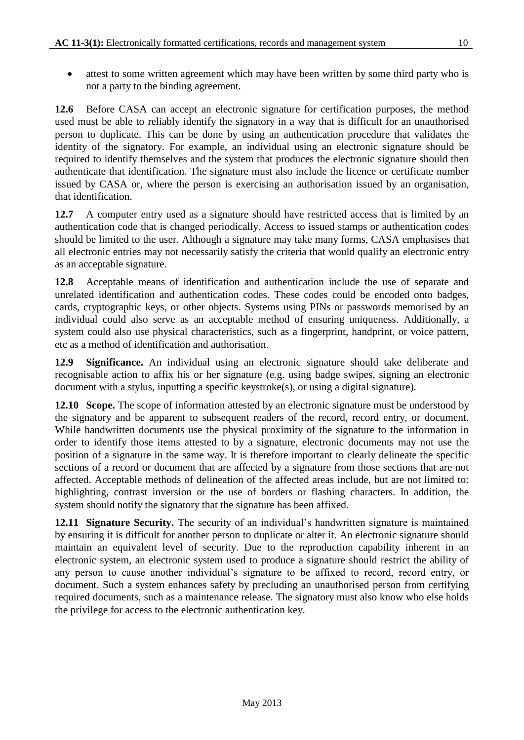• attest to some written agreement which may have been written by some third party who is not a party to the binding agreement.

**12.6** Before CASA can accept an electronic signature for certification purposes, the method used must be able to reliably identify the signatory in a way that is difficult for an unauthorised person to duplicate. This can be done by using an authentication procedure that validates the identity of the signatory. For example, an individual using an electronic signature should be required to identify themselves and the system that produces the electronic signature should then authenticate that identification. The signature must also include the licence or certificate number issued by CASA or, where the person is exercising an authorisation issued by an organisation, that identification.

**12.7** A computer entry used as a signature should have restricted access that is limited by an authentication code that is changed periodically. Access to issued stamps or authentication codes should be limited to the user. Although a signature may take many forms, CASA emphasises that all electronic entries may not necessarily satisfy the criteria that would qualify an electronic entry as an acceptable signature.

**12.8** Acceptable means of identification and authentication include the use of separate and unrelated identification and authentication codes. These codes could be encoded onto badges, cards, cryptographic keys, or other objects. Systems using PINs or passwords memorised by an individual could also serve as an acceptable method of ensuring uniqueness. Additionally, a system could also use physical characteristics, such as a fingerprint, handprint, or voice pattern, etc as a method of identification and authorisation.

**12.9 Significance.** An individual using an electronic signature should take deliberate and recognisable action to affix his or her signature (e.g. using badge swipes, signing an electronic document with a stylus, inputting a specific keystroke(s), or using a digital signature).

**12.10 Scope.** The scope of information attested by an electronic signature must be understood by the signatory and be apparent to subsequent readers of the record, record entry, or document. While handwritten documents use the physical proximity of the signature to the information in order to identify those items attested to by a signature, electronic documents may not use the position of a signature in the same way. It is therefore important to clearly delineate the specific sections of a record or document that are affected by a signature from those sections that are not affected. Acceptable methods of delineation of the affected areas include, but are not limited to: highlighting, contrast inversion or the use of borders or flashing characters. In addition, the system should notify the signatory that the signature has been affixed.

**12.11 Signature Security.** The security of an individual's handwritten signature is maintained by ensuring it is difficult for another person to duplicate or alter it. An electronic signature should maintain an equivalent level of security. Due to the reproduction capability inherent in an electronic system, an electronic system used to produce a signature should restrict the ability of any person to cause another individual's signature to be affixed to record, record entry, or document. Such a system enhances safety by precluding an unauthorised person from certifying required documents, such as a maintenance release. The signatory must also know who else holds the privilege for access to the electronic authentication key.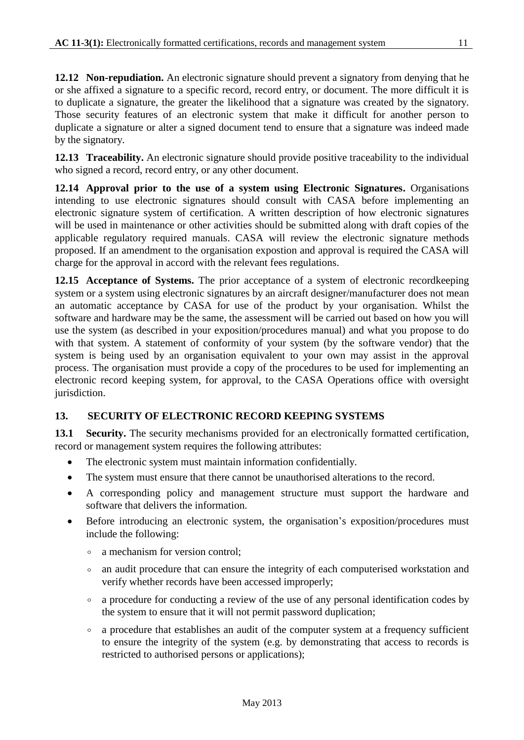**12.12 Non-repudiation.** An electronic signature should prevent a signatory from denying that he or she affixed a signature to a specific record, record entry, or document. The more difficult it is to duplicate a signature, the greater the likelihood that a signature was created by the signatory. Those security features of an electronic system that make it difficult for another person to duplicate a signature or alter a signed document tend to ensure that a signature was indeed made by the signatory.

**12.13 Traceability.** An electronic signature should provide positive traceability to the individual who signed a record, record entry, or any other document.

**12.14 Approval prior to the use of a system using Electronic Signatures.** Organisations intending to use electronic signatures should consult with CASA before implementing an electronic signature system of certification. A written description of how electronic signatures will be used in maintenance or other activities should be submitted along with draft copies of the applicable regulatory required manuals. CASA will review the electronic signature methods proposed. If an amendment to the organisation expostion and approval is required the CASA will charge for the approval in accord with the relevant fees regulations.

**12.15 Acceptance of Systems.** The prior acceptance of a system of electronic recordkeeping system or a system using electronic signatures by an aircraft designer/manufacturer does not mean an automatic acceptance by CASA for use of the product by your organisation. Whilst the software and hardware may be the same, the assessment will be carried out based on how you will use the system (as described in your exposition/procedures manual) and what you propose to do with that system. A statement of conformity of your system (by the software vendor) that the system is being used by an organisation equivalent to your own may assist in the approval process. The organisation must provide a copy of the procedures to be used for implementing an electronic record keeping system, for approval, to the CASA Operations office with oversight jurisdiction.

#### <span id="page-10-0"></span>**13. SECURITY OF ELECTRONIC RECORD KEEPING SYSTEMS**

**13.1 Security.** The security mechanisms provided for an electronically formatted certification, record or management system requires the following attributes:

- The electronic system must maintain information confidentially.
- The system must ensure that there cannot be unauthorised alterations to the record.
- A corresponding policy and management structure must support the hardware and software that delivers the information.
- Before introducing an electronic system, the organisation's exposition/procedures must include the following:
	- a mechanism for version control;
	- º an audit procedure that can ensure the integrity of each computerised workstation and verify whether records have been accessed improperly;
	- a procedure for conducting a review of the use of any personal identification codes by the system to ensure that it will not permit password duplication;
	- º a procedure that establishes an audit of the computer system at a frequency sufficient to ensure the integrity of the system (e.g. by demonstrating that access to records is restricted to authorised persons or applications);